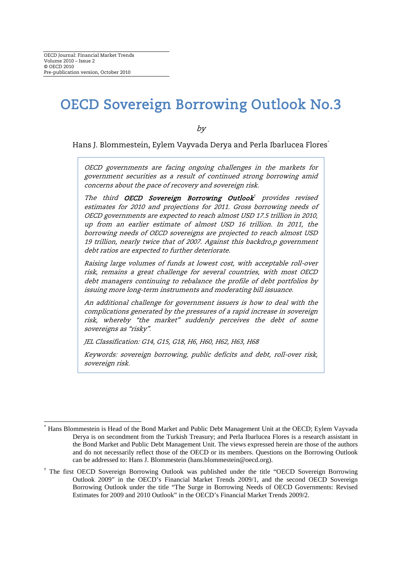# OECD Sovereign Borrowing Outlook No.3

by

Hans J. Blommestein, Eylem Vayvada Derya and Perla Ibarlucea Flores[\\*](#page-0-0)

OECD governments are facing ongoing challenges in the markets for government securities as a result of continued strong borrowing amid concerns about the pace of recovery and sovereign risk.

The third OECD Sovereign Borrowing Outlook<sup>t</sup> provides revised estimates for 2010 and projections for 2011. Gross borrowing needs of OECD governments are expected to reach almost USD 17.5 trillion in 2010, up from an earlier estimate of almost USD 16 trillion. In 2011, the borrowing needs of OECD sovereigns are projected to reach almost USD 19 trillion, nearly twice that of 2007. Against this backdro,p government debt ratios are expected to further deteriorate.

Raising large volumes of funds at lowest cost, with acceptable roll-over risk, remains a great challenge for several countries, with most OECD debt managers continuing to rebalance the profile of debt portfolios by issuing more long-term instruments and moderating bill issuance.

An additional challenge for government issuers is how to deal with the complications generated by the pressures of a rapid increase in sovereign risk, whereby "the market" suddenly perceives the debt of some sovereigns as "risky".

JEL Classification: G14, G15, G18, H6, H60, H62, H63, H68

Keywords: sovereign borrowing, public deficits and debt, roll-over risk, sovereign risk.

<span id="page-0-0"></span> <sup>\*</sup> Hans Blommestein is Head of the Bond Market and Public Debt Management Unit at the OECD; Eylem Vayvada Derya is on secondment from the Turkish Treasury; and Perla Ibarlucea Flores is a research assistant in the Bond Market and Public Debt Management Unit. The views expressed herein are those of the authors and do not necessarily reflect those of the OECD or its members. Questions on the Borrowing Outlook can be addressed to: Hans J. Blommestein (hans.blommestein@oecd.org).

<span id="page-0-1"></span><sup>†</sup> The first OECD Sovereign Borrowing Outlook was published under the title "OECD Sovereign Borrowing Outlook 2009" in the OECD's Financial Market Trends 2009/1, and the second OECD Sovereign Borrowing Outlook under the title "The Surge in Borrowing Needs of OECD Governments: Revised Estimates for 2009 and 2010 Outlook" in the OECD's Financial Market Trends 2009/2.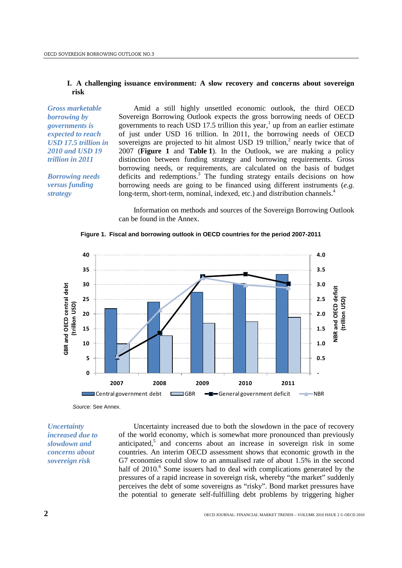#### **I. A challenging issuance environment: A slow recovery and concerns about sovereign risk**

*Gross marketable borrowing by governments is expected to reach USD 17.5 trillion in 2010 and USD 19 trillion in 2011*

*Borrowing needs versus funding strategy*

Amid a still highly unsettled economic outlook, the third OECD Sovereign Borrowing Outlook expects the gross borrowing needs of OECD governments to reach USD [1](#page-13-0)7.5 trillion this year,<sup>1</sup> up from an earlier estimate of just under USD 16 trillion. In 2011, the borrowing needs of OECD sovereigns are projected to hit almost USD 19 trillion, $2$  nearly twice that of 2007 (**Figure 1** and **Table 1**). In the Outlook, we are making a policy distinction between funding strategy and borrowing requirements. Gross borrowing needs, or requirements, are calculated on the basis of budget deficits and redemptions.<sup>3</sup> The funding strategy entails decisions on how borrowing needs are going to be financed using different instruments (*e.g.* long-term, short-term, nominal, indexed, etc.) and distribution channels.<sup>4</sup>

Information on methods and sources of the Sovereign Borrowing Outlook can be found in the Annex.



**Figure 1. Fiscal and borrowing outlook in OECD countries for the period 2007-2011**

*Source:* See Annex.

*Uncertainty increased due to slowdown and concerns about sovereign risk*

Uncertainty increased due to both the slowdown in the pace of recovery of the world economy, which is somewhat more pronounced than previously anticipated, <sup>5</sup> and concerns about an increase in sovereign risk in some countries. An interim OECD assessment shows that economic growth in the G7 economies could slow to an annualised rate of about 1.5% in the second half of 2010.<sup>6</sup> Some issuers had to deal with complications generated by the pressures of a rapid increase in sovereign risk, whereby "the market" suddenly perceives the debt of some sovereigns as "risky". Bond market pressures have the potential to generate self-fulfilling debt problems by triggering higher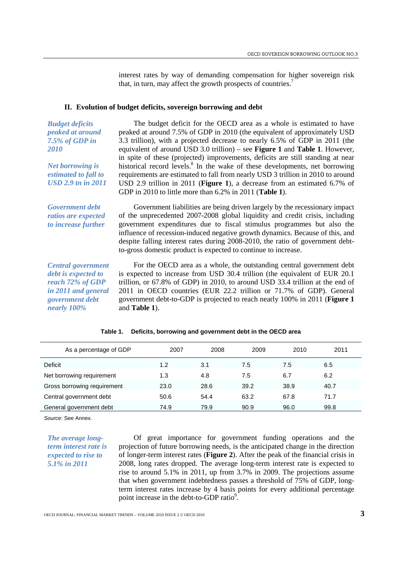interest rates by way of demanding compensation for higher sovereign risk that, in turn, may affect the growth prospects of countries.<sup>7</sup>

#### **II. Evolution of budget deficits, sovereign borrowing and debt**

*peaked at around Net borrowing is estimated to fall to USD 2.9 tn in 2011* The budget deficit for the OECD area as a whole is estimated to have peaked at around 7.5% of GDP in 2010 (the equivalent of approximately USD 3.3 trillion), with a projected decrease to nearly 6.5% of GDP in 2011 (the equivalent of around USD 3.0 trillion) – see **Figure 1** and **Table 1**. However, in spite of these (projected) improvements, deficits are still standing at near historical record levels.<sup>8</sup> In the wake of these developments, net borrowing requirements are estimated to fall from nearly USD 3 trillion in 2010 to around USD 2.9 trillion in 2011 (**Figure 1**), a decrease from an estimated 6.7% of GDP in 2010 to little more than 6.2% in 2011 (**Table 1**).

*Government debt ratios are expected to increase further*

*Budget deficits* 

*7.5% of GDP in* 

*2010*

Government liabilities are being driven largely by the recessionary impact of the unprecedented 2007-2008 global liquidity and credit crisis, including government expenditures due to fiscal stimulus programmes but also the influence of recession-induced negative growth dynamics. Because of this, and despite falling interest rates during 2008-2010, the ratio of government debtto-gross domestic product is expected to continue to increase.

*Central government debt is expected to reach 72% of GDP in 2011 and general government debt nearly 100%* 

For the OECD area as a whole, the outstanding central government debt is expected to increase from USD 30.4 trillion (the equivalent of EUR 20.1 trillion, or 67.8% of GDP) in 2010, to around USD 33.4 trillion at the end of 2011 in OECD countries (EUR 22.2 trillion or 71.7% of GDP). General government debt-to-GDP is projected to reach nearly 100% in 2011 (**Figure 1** and **Table 1**).

| As a percentage of GDP      | 2007 | 2008 | 2009 | 2010 | 2011 |
|-----------------------------|------|------|------|------|------|
| Deficit                     | 1.2  | 3.1  | 7.5  | 7.5  | 6.5  |
| Net borrowing requirement   | 1.3  | 4.8  | 7.5  | 6.7  | 6.2  |
| Gross borrowing requirement | 23.0 | 28.6 | 39.2 | 38.9 | 40.7 |
| Central government debt     | 50.6 | 54.4 | 63.2 | 67.8 | 71.7 |
| General government debt     | 74.9 | 79.9 | 90.9 | 96.0 | 99.8 |

#### **Table 1. Deficits, borrowing and government debt in the OECD area**

*Source*: See Annex.

*The average longterm interest rate is expected to rise to 5.1% in 2011*

Of great importance for government funding operations and the projection of future borrowing needs, is the anticipated change in the direction of longer-term interest rates (**Figure 2**). After the peak of the financial crisis in 2008, long rates dropped. The average long-term interest rate is expected to rise to around 5.1% in 2011, up from 3.7% in 2009. The projections assume that when government indebtedness passes a threshold of 75% of GDP, longterm interest rates increase by 4 basis points for every additional percentage point increase in the debt-to-GDP ratio<sup>9</sup>.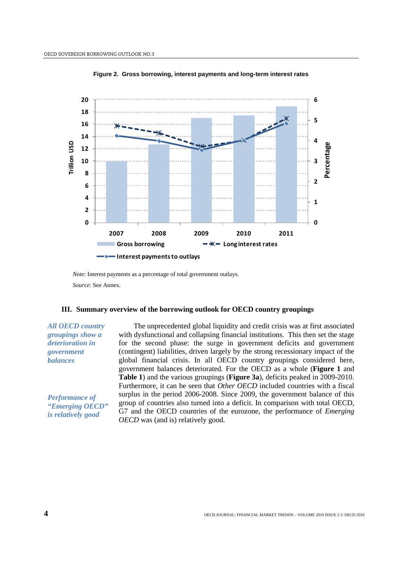

**Figure 2. Gross borrowing, interest payments and long-term interest rates**

*Note*: Interest payments as a percentage of total government outlays.

*Source*: See Annex.

#### **III. Summary overview of the borrowing outlook for OECD country groupings**

*All OECD country groupings show a deterioration in government balances*

*Performance of "Emerging OECD" is relatively good*

The unprecedented global liquidity and credit crisis was at first associated with dysfunctional and collapsing financial institutions. This then set the stage for the second phase: the surge in government deficits and government (contingent) liabilities, driven largely by the strong recessionary impact of the global financial crisis. In all OECD country groupings considered here, government balances deteriorated. For the OECD as a whole (**Figure 1** and **Table 1**) and the various groupings (**Figure 3a**), deficits peaked in 2009-2010. Furthermore, it can be seen that *Other OECD* included countries with a fiscal surplus in the period 2006-2008. Since 2009, the government balance of this group of countries also turned into a deficit. In comparison with total OECD, G7 and the OECD countries of the eurozone, the performance of *Emerging OECD* was (and is) relatively good.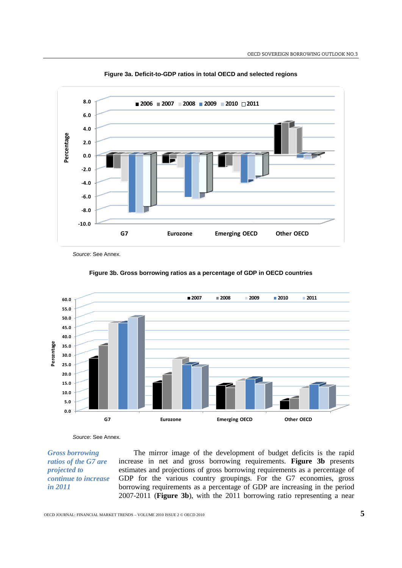

**Figure 3a. Deficit-to-GDP ratios in total OECD and selected regions**

*Source*: See Annex.



#### **Figure 3b. Gross borrowing ratios as a percentage of GDP in OECD countries**

*Source*: See Annex.

*Gross borrowing ratios of the G7 are projected to continue to increase in 2011*

The mirror image of the development of budget deficits is the rapid increase in net and gross borrowing requirements. **Figure 3b** presents estimates and projections of gross borrowing requirements as a percentage of GDP for the various country groupings. For the G7 economies, gross borrowing requirements as a percentage of GDP are increasing in the period 2007-2011 (**Figure 3b**), with the 2011 borrowing ratio representing a near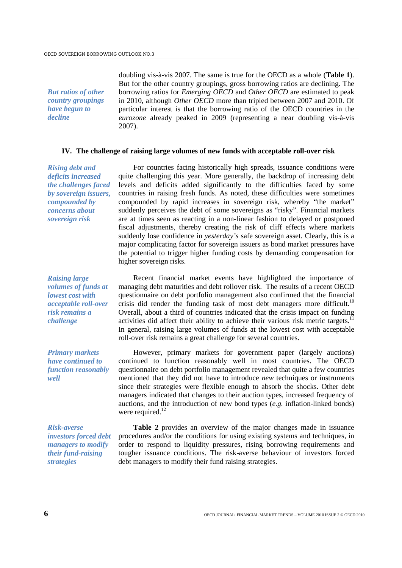*But ratios of other country groupings have begun to decline*

doubling vis-à-vis 2007. The same is true for the OECD as a whole (**Table 1**). But for the other country groupings, gross borrowing ratios are declining. The borrowing ratios for *Emerging OECD* and *Other OECD* are estimated to peak in 2010, although *Other OECD* more than tripled between 2007 and 2010. Of particular interest is that the borrowing ratio of the OECD countries in the *eurozone* already peaked in 2009 (representing a near doubling vis-à-vis 2007).

#### **IV. The challenge of raising large volumes of new funds with acceptable roll-over risk**

*Rising debt and deficits increased the challenges faced by sovereign issuers, compounded by concerns about sovereign risk*

For countries facing historically high spreads, issuance conditions were quite challenging this year. More generally, the backdrop of increasing debt levels and deficits added significantly to the difficulties faced by some countries in raising fresh funds. As noted, these difficulties were sometimes compounded by rapid increases in sovereign risk, whereby "the market" suddenly perceives the debt of some sovereigns as "risky". Financial markets are at times seen as reacting in a non-linear fashion to delayed or postponed fiscal adjustments, thereby creating the risk of cliff effects where markets suddenly lose confidence in *yesterday's* safe sovereign asset. Clearly, this is a major complicating factor for sovereign issuers as bond market pressures have the potential to trigger higher funding costs by demanding compensation for higher sovereign risks.

*Raising large volumes of funds at lowest cost with acceptable roll-over risk remains a challenge*

Recent financial market events have highlighted the importance of managing debt maturities and debt rollover risk. The results of a recent OECD questionnaire on debt portfolio management also confirmed that the financial crisis did render the funding task of most debt managers more difficult.<sup>10</sup> Overall, about a third of countries indicated that the crisis impact on funding activities did affect their ability to achieve their various risk metric targets.<sup>11</sup> In general, raising large volumes of funds at the lowest cost with acceptable roll-over risk remains a great challenge for several countries.

*Primary markets have continued to function reasonably well*

However, primary markets for government paper (largely auctions) continued to function reasonably well in most countries. The OECD questionnaire on debt portfolio management revealed that quite a few countries mentioned that they did not have to introduce *new* techniques or instruments since their strategies were flexible enough to absorb the shocks. Other debt managers indicated that changes to their auction types, increased frequency of auctions, and the introduction of new bond types (*e.g.* inflation-linked bonds) were required.<sup>12</sup>

*Risk-averse investors forced debt managers to modify their fund-raising strategies*

**Table 2** provides an overview of the major changes made in issuance procedures and/or the conditions for using existing systems and techniques, in order to respond to liquidity pressures, rising borrowing requirements and tougher issuance conditions. The risk-averse behaviour of investors forced debt managers to modify their fund raising strategies.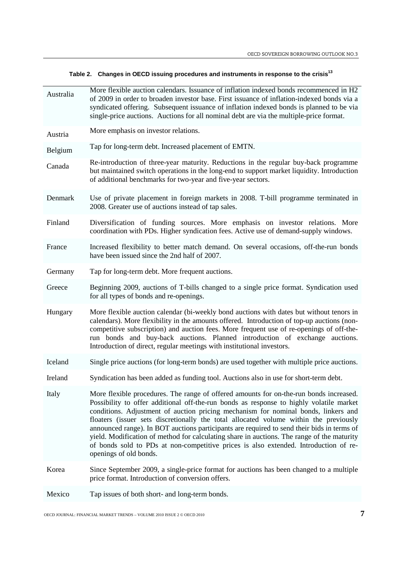|  | Table 2. Changes in OECD issuing procedures and instruments in response to the crisis <sup>13</sup> |  |
|--|-----------------------------------------------------------------------------------------------------|--|
|--|-----------------------------------------------------------------------------------------------------|--|

| Australia | More flexible auction calendars. Issuance of inflation indexed bonds recommenced in H2<br>of 2009 in order to broaden investor base. First issuance of inflation-indexed bonds via a<br>syndicated offering. Subsequent issuance of inflation indexed bonds is planned to be via<br>single-price auctions. Auctions for all nominal debt are via the multiple-price format.                                                                                                                                                                                                                                                                                                    |  |  |  |
|-----------|--------------------------------------------------------------------------------------------------------------------------------------------------------------------------------------------------------------------------------------------------------------------------------------------------------------------------------------------------------------------------------------------------------------------------------------------------------------------------------------------------------------------------------------------------------------------------------------------------------------------------------------------------------------------------------|--|--|--|
| Austria   | More emphasis on investor relations.                                                                                                                                                                                                                                                                                                                                                                                                                                                                                                                                                                                                                                           |  |  |  |
| Belgium   | Tap for long-term debt. Increased placement of EMTN.                                                                                                                                                                                                                                                                                                                                                                                                                                                                                                                                                                                                                           |  |  |  |
| Canada    | Re-introduction of three-year maturity. Reductions in the regular buy-back programme<br>but maintained switch operations in the long-end to support market liquidity. Introduction<br>of additional benchmarks for two-year and five-year sectors.                                                                                                                                                                                                                                                                                                                                                                                                                             |  |  |  |
| Denmark   | Use of private placement in foreign markets in 2008. T-bill programme terminated in<br>2008. Greater use of auctions instead of tap sales.                                                                                                                                                                                                                                                                                                                                                                                                                                                                                                                                     |  |  |  |
| Finland   | Diversification of funding sources. More emphasis on investor relations. More<br>coordination with PDs. Higher syndication fees. Active use of demand-supply windows.                                                                                                                                                                                                                                                                                                                                                                                                                                                                                                          |  |  |  |
| France    | Increased flexibility to better match demand. On several occasions, off-the-run bonds<br>have been issued since the 2nd half of 2007.                                                                                                                                                                                                                                                                                                                                                                                                                                                                                                                                          |  |  |  |
| Germany   | Tap for long-term debt. More frequent auctions.                                                                                                                                                                                                                                                                                                                                                                                                                                                                                                                                                                                                                                |  |  |  |
| Greece    | Beginning 2009, auctions of T-bills changed to a single price format. Syndication used<br>for all types of bonds and re-openings.                                                                                                                                                                                                                                                                                                                                                                                                                                                                                                                                              |  |  |  |
| Hungary   | More flexible auction calendar (bi-weekly bond auctions with dates but without tenors in<br>calendars). More flexibility in the amounts offered. Introduction of top-up auctions (non-<br>competitive subscription) and auction fees. More frequent use of re-openings of off-the-<br>run bonds and buy-back auctions. Planned introduction of exchange auctions.<br>Introduction of direct, regular meetings with institutional investors.                                                                                                                                                                                                                                    |  |  |  |
| Iceland   | Single price auctions (for long-term bonds) are used together with multiple price auctions.                                                                                                                                                                                                                                                                                                                                                                                                                                                                                                                                                                                    |  |  |  |
| Ireland   | Syndication has been added as funding tool. Auctions also in use for short-term debt.                                                                                                                                                                                                                                                                                                                                                                                                                                                                                                                                                                                          |  |  |  |
| Italy     | More flexible procedures. The range of offered amounts for on-the-run bonds increased.<br>Possibility to offer additional off-the-run bonds as response to highly volatile market<br>conditions. Adjustment of auction pricing mechanism for nominal bonds, linkers and<br>floaters (issuer sets discretionally the total allocated volume within the previously<br>announced range). In BOT auctions participants are required to send their bids in terms of<br>yield. Modification of method for calculating share in auctions. The range of the maturity<br>of bonds sold to PDs at non-competitive prices is also extended. Introduction of re-<br>openings of old bonds. |  |  |  |
| Korea     | Since September 2009, a single-price format for auctions has been changed to a multiple<br>price format. Introduction of conversion offers.                                                                                                                                                                                                                                                                                                                                                                                                                                                                                                                                    |  |  |  |
| Mexico    | Tap issues of both short- and long-term bonds.                                                                                                                                                                                                                                                                                                                                                                                                                                                                                                                                                                                                                                 |  |  |  |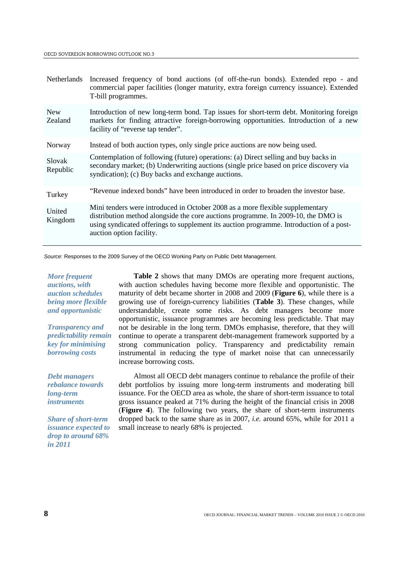| Netherlands           | Increased frequency of bond auctions (of off-the-run bonds). Extended repo - and<br>commercial paper facilities (longer maturity, extra foreign currency issuance). Extended<br>T-bill programmes.                                                                                        |
|-----------------------|-------------------------------------------------------------------------------------------------------------------------------------------------------------------------------------------------------------------------------------------------------------------------------------------|
| <b>New</b><br>Zealand | Introduction of new long-term bond. Tap issues for short-term debt. Monitoring foreign<br>markets for finding attractive foreign-borrowing opportunities. Introduction of a new<br>facility of "reverse tap tender".                                                                      |
| Norway                | Instead of both auction types, only single price auctions are now being used.                                                                                                                                                                                                             |
| Slovak<br>Republic    | Contemplation of following (future) operations: (a) Direct selling and buy backs in<br>secondary market; (b) Underwriting auctions (single price based on price discovery via<br>syndication); (c) Buy backs and exchange auctions.                                                       |
| Turkey                | "Revenue indexed bonds" have been introduced in order to broaden the investor base.                                                                                                                                                                                                       |
| United<br>Kingdom     | Mini tenders were introduced in October 2008 as a more flexible supplementary<br>distribution method alongside the core auctions programme. In 2009-10, the DMO is<br>using syndicated offerings to supplement its auction programme. Introduction of a post-<br>auction option facility. |

*Source*: Responses to the 2009 Survey of the OECD Working Party on Public Debt Management.

*More frequent auctions, with auction schedules being more flexible and opportunistic*

*Transparency and predictability remain key for minimising borrowing costs*

*Debt managers rebalance towards long-term instruments*

*Share of short-term issuance expected to drop to around 68% in 2011*

**Table 2** shows that many DMOs are operating more frequent auctions, with auction schedules having become more flexible and opportunistic. The maturity of debt became shorter in 2008 and 2009 (**Figure 6**), while there is a growing use of foreign-currency liabilities (**Table 3**). These changes, while understandable, create some risks. As debt managers become more opportunistic, issuance programmes are becoming less predictable. That may not be desirable in the long term. DMOs emphasise, therefore, that they will continue to operate a transparent debt-management framework supported by a strong communication policy. Transparency and predictability remain instrumental in reducing the type of market noise that can unnecessarily increase borrowing costs.

Almost all OECD debt managers continue to rebalance the profile of their debt portfolios by issuing more long-term instruments and moderating bill issuance. For the OECD area as whole, the share of short-term issuance to total gross issuance peaked at 71% during the height of the financial crisis in 2008 (**Figure 4**). The following two years, the share of short-term instruments dropped back to the same share as in 2007, *i.e.* around 65%, while for 2011 a small increase to nearly 68% is projected.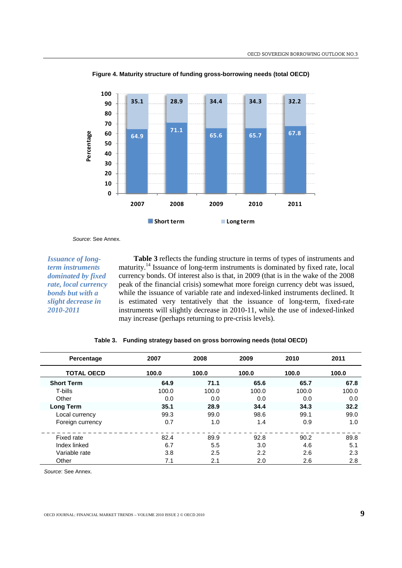

**Figure 4. Maturity structure of funding gross-borrowing needs (total OECD)**

*Source*: See Annex.

*Issuance of longterm instruments dominated by fixed rate, local currency bonds but with a slight decrease in 2010-2011*

**Table 3** reflects the funding structure in terms of types of instruments and maturity.14 Issuance of long-term instruments is dominated by fixed rate, local currency bonds. Of interest also is that, in 2009 (that is in the wake of the 2008 peak of the financial crisis) somewhat more foreign currency debt was issued, while the issuance of variable rate and indexed-linked instruments declined. It is estimated very tentatively that the issuance of long-term, fixed-rate instruments will slightly decrease in 2010-11, while the use of indexed-linked may increase (perhaps returning to pre-crisis levels).

| Percentage        | 2007  | 2008  | 2009  | 2010  | 2011  |
|-------------------|-------|-------|-------|-------|-------|
| <b>TOTAL OECD</b> | 100.0 | 100.0 | 100.0 | 100.0 | 100.0 |
| <b>Short Term</b> | 64.9  | 71.1  | 65.6  | 65.7  | 67.8  |
| T-bills           | 100.0 | 100.0 | 100.0 | 100.0 | 100.0 |
| Other             | 0.0   | 0.0   | 0.0   | 0.0   | 0.0   |
| <b>Long Term</b>  | 35.1  | 28.9  | 34.4  | 34.3  | 32.2  |
| Local currency    | 99.3  | 99.0  | 98.6  | 99.1  | 99.0  |
| Foreign currency  | 0.7   | 1.0   | 1.4   | 0.9   | 1.0   |
| Fixed rate        | 82.4  | 89.9  | 92.8  | 90.2  | 89.8  |
| Index linked      | 6.7   | 5.5   | 3.0   | 4.6   | 5.1   |
| Variable rate     | 3.8   | 2.5   | 2.2   | 2.6   | 2.3   |
| Other             | 7.1   | 2.1   | 2.0   | 2.6   | 2.8   |

|  | Table 3. Funding strategy based on gross borrowing needs (total OECD) |  |  |  |
|--|-----------------------------------------------------------------------|--|--|--|
|--|-----------------------------------------------------------------------|--|--|--|

*Source*: See Annex.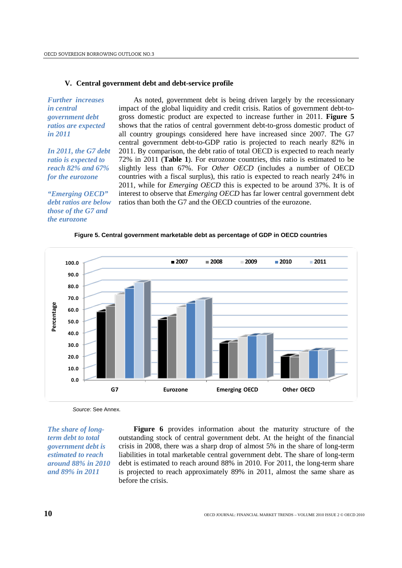#### **V. Central government debt and debt-service profile**

*Further increases in central government debt ratios are expected in 2011*

*In 2011, the G7 debt ratio is expected to reach 82% and 67% for the eurozone*

*"Emerging OECD" debt ratios are below those of the G7 and the eurozone*

As noted, government debt is being driven largely by the recessionary impact of the global liquidity and credit crisis. Ratios of government debt-togross domestic product are expected to increase further in 2011. **Figure 5** shows that the ratios of central government debt-to-gross domestic product of all country groupings considered here have increased since 2007. The G7 central government debt-to-GDP ratio is projected to reach nearly 82% in 2011. By comparison, the debt ratio of total OECD is expected to reach nearly 72% in 2011 (**Table 1**). For eurozone countries, this ratio is estimated to be slightly less than 67%. For *Other OECD* (includes a number of OECD countries with a fiscal surplus), this ratio is expected to reach nearly 24% in 2011, while for *Emerging OECD* this is expected to be around 37%. It is of interest to observe that *Emerging OECD* has far lower central government debt ratios than both the G7 and the OECD countries of the eurozone.

#### **Figure 5. Central government marketable debt as percentage of GDP in OECD countries**



*Source*: See Annex.

*The share of longterm debt to total government debt is estimated to reach around 88% in 2010 and 89% in 2011*

**Figure 6** provides information about the maturity structure of the outstanding stock of central government debt. At the height of the financial crisis in 2008, there was a sharp drop of almost 5% in the share of long-term liabilities in total marketable central government debt. The share of long-term debt is estimated to reach around 88% in 2010. For 2011, the long-term share is projected to reach approximately 89% in 2011, almost the same share as before the crisis.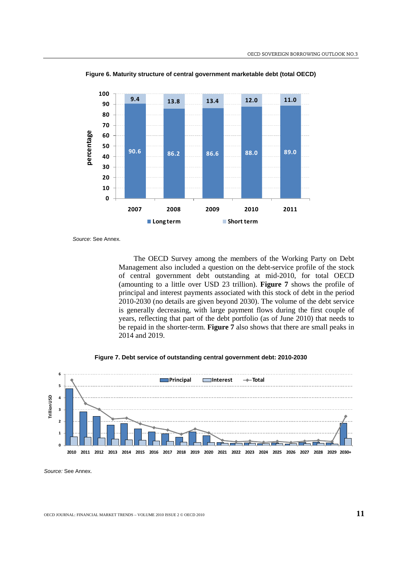

**Figure 6. Maturity structure of central government marketable debt (total OECD)**

*Source*: See Annex.

The OECD Survey among the members of the Working Party on Debt Management also included a question on the debt-service profile of the stock of central government debt outstanding at mid-2010, for total OECD (amounting to a little over USD 23 trillion). **Figure 7** shows the profile of principal and interest payments associated with this stock of debt in the period 2010-2030 (no details are given beyond 2030). The volume of the debt service is generally decreasing, with large payment flows during the first couple of years, reflecting that part of the debt portfolio (as of June 2010) that needs to be repaid in the shorter-term. **Figure 7** also shows that there are small peaks in 2014 and 2019.





*Source:* See Annex.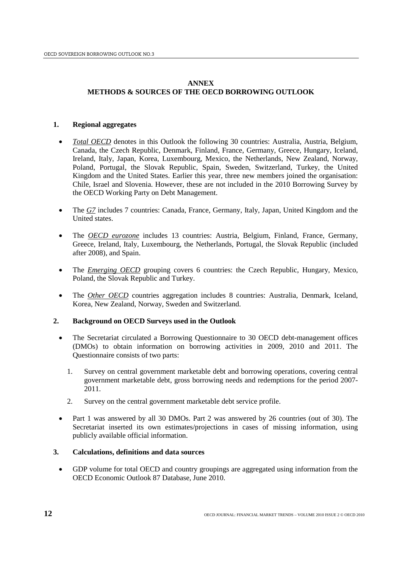# **ANNEX**

# **METHODS & SOURCES OF THE OECD BORROWING OUTLOOK**

# **1. Regional aggregates**

- *Total OECD* denotes in this Outlook the following 30 countries: Australia, Austria, Belgium, Canada, the Czech Republic, Denmark, Finland, France, Germany, Greece, Hungary, Iceland, Ireland, Italy, Japan, Korea, Luxembourg, Mexico, the Netherlands, New Zealand, Norway, Poland, Portugal, the Slovak Republic, Spain, Sweden, Switzerland, Turkey, the United Kingdom and the United States. Earlier this year, three new members joined the organisation: Chile, Israel and Slovenia. However, these are not included in the 2010 Borrowing Survey by the OECD Working Party on Debt Management.
- The *G7* includes 7 countries: Canada, France, Germany, Italy, Japan, United Kingdom and the United states.
- The *OECD eurozone* includes 13 countries: Austria, Belgium, Finland, France, Germany, Greece, Ireland, Italy, Luxembourg, the Netherlands, Portugal, the Slovak Republic (included after 2008), and Spain.
- The *Emerging OECD* grouping covers 6 countries: the Czech Republic, Hungary, Mexico, Poland, the Slovak Republic and Turkey.
- The *Other OECD* countries aggregation includes 8 countries: Australia, Denmark, Iceland, Korea, New Zealand, Norway, Sweden and Switzerland.

# **2. Background on OECD Surveys used in the Outlook**

- The Secretariat circulated a Borrowing Questionnaire to 30 OECD debt-management offices (DMOs) to obtain information on borrowing activities in 2009, 2010 and 2011. The Questionnaire consists of two parts:
	- 1. Survey on central government marketable debt and borrowing operations, covering central government marketable debt, gross borrowing needs and redemptions for the period 2007- 2011.
	- 2. Survey on the central government marketable debt service profile.
- Part 1 was answered by all 30 DMOs. Part 2 was answered by 26 countries (out of 30). The Secretariat inserted its own estimates/projections in cases of missing information, using publicly available official information.

# **3. Calculations, definitions and data sources**

• GDP volume for total OECD and country groupings are aggregated using information from the OECD Economic Outlook 87 Database, June 2010.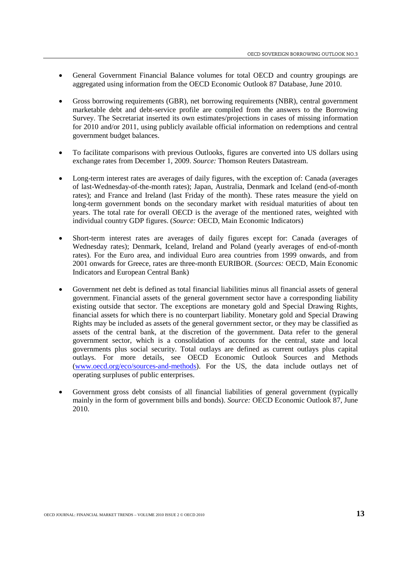- General Government Financial Balance volumes for total OECD and country groupings are aggregated using information from the OECD Economic Outlook 87 Database, June 2010.
- Gross borrowing requirements (GBR), net borrowing requirements (NBR), central government marketable debt and debt-service profile are compiled from the answers to the Borrowing Survey. The Secretariat inserted its own estimates/projections in cases of missing information for 2010 and/or 2011, using publicly available official information on redemptions and central government budget balances.
- To facilitate comparisons with previous Outlooks, figures are converted into US dollars using exchange rates from December 1, 2009. *Source:* Thomson Reuters Datastream.
- Long-term interest rates are averages of daily figures, with the exception of: Canada (averages of last-Wednesday-of-the-month rates); Japan, Australia, Denmark and Iceland (end-of-month rates); and France and Ireland (last Friday of the month). These rates measure the yield on long-term government bonds on the secondary market with residual maturities of about ten years. The total rate for overall OECD is the average of the mentioned rates, weighted with individual country GDP figures. (*Source:* OECD, [Main Economic Indicators\)](http://www.oecd.org/department/0,3355,en_2649_34249_1_1_1_1_1,00.html)
- Short-term interest rates are averages of daily figures except for: Canada (averages of Wednesday rates); Denmark, Iceland, Ireland and Poland (yearly averages of end-of-month rates). For the Euro area, and individual Euro area countries from 1999 onwards, and from 2001 onwards for Greece, rates are three-month EURIBOR. (*Sources:* OECD, [Main Economic](http://www.oecd.org/department/0,3355,en_2649_34249_1_1_1_1_1,00.html)  [Indicators](http://www.oecd.org/department/0,3355,en_2649_34249_1_1_1_1_1,00.html) and European Central Bank)
- Government net debt is defined as total financial liabilities minus all financial assets of general government. Financial assets of the general government sector have a corresponding liability existing outside that sector. The exceptions are monetary gold and Special Drawing Rights, financial assets for which there is no counterpart liability. Monetary gold and Special Drawing Rights may be included as assets of the general government sector, or they may be classified as assets of the central bank, at the discretion of the government. Data refer to the general government sector, which is a consolidation of accounts for the central, state and local governments plus social security. Total outlays are defined as current outlays plus capital outlays. For more details, see OECD Economic Outlook Sources and Methods [\(www.oecd.org/eco/sources-and-methods\)](http://www.oecd.org/eco/sources-and-methods). For the US, the data include outlays net of operating surpluses of public enterprises.
- Government gross debt consists of all financial liabilities of general government (typically mainly in the form of government bills and bonds). *Source:* OECD Economic Outlook 87, June 2010.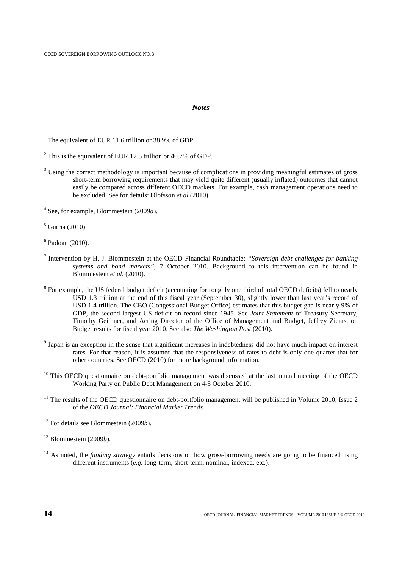#### *Notes*

<span id="page-13-0"></span><sup>1</sup> The equivalent of EUR 11.6 trillion or 38.9% of GDP.

<sup>4</sup> See, for example, Blommestein (2009*a*).

 $<sup>5</sup>$  Gurria (2010).</sup>

- <sup>7</sup> Intervention by H. J. Blommestein at the OECD Financial Roundtable: *"Sovereign debt challenges for banking systems and bond markets"*, 7 October 2010. Background to this intervention can be found in Blommestein *et al.* (2010).
- <sup>8</sup> For example, the US federal budget deficit (accounting for roughly one third of total OECD deficits) fell to nearly USD 1.3 trillion at the end of this fiscal year (September 30), slightly lower than last year's record of USD 1.4 trillion. The CBO (Congessional Budget Office) estimates that this budget gap is nearly 9% of GDP, the second largest US deficit on record since 1945. See *Joint Statement* of Treasury Secretary, Timothy Geithner, and Acting Director of the Office of Management and Budget, Jeffrey Zients, on Budget results for fiscal year 2010. See also *The Washington Post* (2010).
- <sup>9</sup> Japan is an exception in the sense that significant increases in indebtedness did not have much impact on interest rates. For that reason, it is assumed that the responsiveness of rates to debt is only one quarter that for other countries. See OECD (2010) for more background information.
- $10$  This OECD questionnaire on debt-portfolio management was discussed at the last annual meeting of the OECD Working Party on Public Debt Management on 4-5 October 2010.
- $11$  The results of the OECD questionnaire on debt-portfolio management will be published in Volume 2010, Issue 2 of the *OECD Journal: Financial Market Trends.*
- <sup>12</sup> For details see Blommestein (2009*b*)*.*

<sup>13</sup> Blommestein (2009*b*).

<sup>14</sup> As noted, the *funding strategy* entails decisions on how gross-borrowing needs are going to be financed using different instruments (*e.g.* long-term, short-term, nominal, indexed, etc.).

<sup>&</sup>lt;sup>2</sup> This is the equivalent of EUR 12.5 trillion or 40.7% of GDP.

<sup>&</sup>lt;sup>3</sup> Using the correct methodology is important because of complications in providing meaningful estimates of gross short-term borrowing requirements that may yield quite different (usually inflated) outcomes that cannot easily be compared across different OECD markets. For example, cash management operations need to be excluded. See for details: Olofsson *et al* (2010).

 $6$  Padoan (2010).